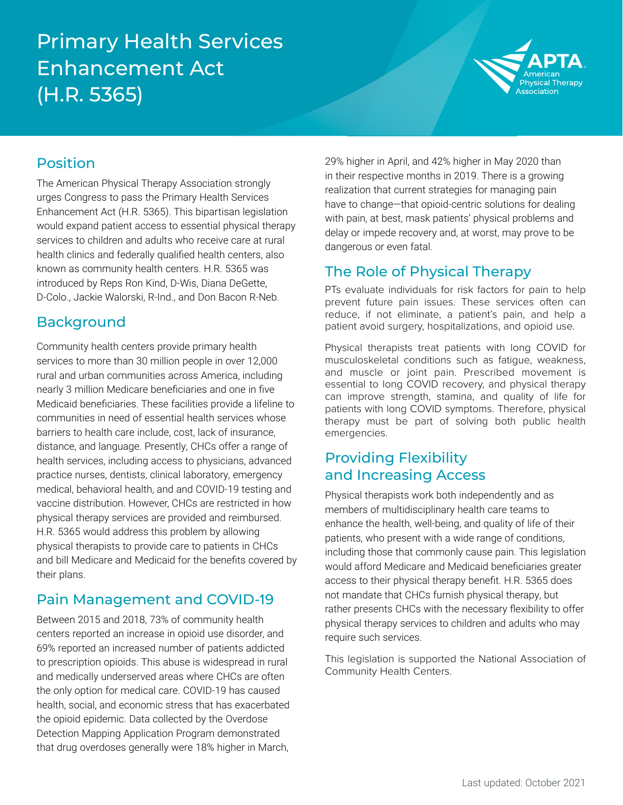## Primary Health Services Enhancement Act (H.R. 5365)



#### Position

The American Physical Therapy Association strongly urges Congress to pass the Primary Health Services Enhancement Act (H.R. 5365). This bipartisan legislation would expand patient access to essential physical therapy services to children and adults who receive care at rural health clinics and federally qualified health centers, also known as community health centers. H.R. 5365 was introduced by Reps Ron Kind, D-Wis, Diana DeGette, D-Colo., Jackie Walorski, R-Ind., and Don Bacon R-Neb.

#### Background

Community health centers provide primary health services to more than 30 million people in over 12,000 rural and urban communities across America, including nearly 3 million Medicare beneficiaries and one in five Medicaid beneficiaries. These facilities provide a lifeline to communities in need of essential health services whose barriers to health care include, cost, lack of insurance, distance, and language. Presently, CHCs offer a range of health services, including access to physicians, advanced practice nurses, dentists, clinical laboratory, emergency medical, behavioral health, and and COVID-19 testing and vaccine distribution. However, CHCs are restricted in how physical therapy services are provided and reimbursed. H.R. 5365 would address this problem by allowing physical therapists to provide care to patients in CHCs and bill Medicare and Medicaid for the benefits covered by their plans.

### Pain Management and COVID-19

Between 2015 and 2018, 73% of community health centers reported an increase in opioid use disorder, and 69% reported an increased number of patients addicted to prescription opioids. This abuse is widespread in rural and medically underserved areas where CHCs are often the only option for medical care. COVID-19 has caused health, social, and economic stress that has exacerbated the opioid epidemic. Data collected by the Overdose Detection Mapping Application Program demonstrated that drug overdoses generally were 18% higher in March,

29% higher in April, and 42% higher in May 2020 than in their respective months in 2019. There is a growing realization that current strategies for managing pain have to change—that opioid-centric solutions for dealing with pain, at best, mask patients' physical problems and delay or impede recovery and, at worst, may prove to be dangerous or even fatal.

## The Role of Physical Therapy

PTs evaluate individuals for risk factors for pain to help prevent future pain issues. These services often can reduce, if not eliminate, a patient's pain, and help a patient avoid surgery, hospitalizations, and opioid use.

Physical therapists treat patients with long COVID for musculoskeletal conditions such as fatigue, weakness, and muscle or joint pain. Prescribed movement is essential to long COVID recovery, and physical therapy can improve strength, stamina, and quality of life for patients with long COVID symptoms. Therefore, physical therapy must be part of solving both public health emergencies.

#### Providing Flexibility and Increasing Access

Physical therapists work both independently and as members of multidisciplinary health care teams to enhance the health, well-being, and quality of life of their patients, who present with a wide range of conditions, including those that commonly cause pain. This legislation would afford Medicare and Medicaid beneficiaries greater access to their physical therapy benefit. H.R. 5365 does not mandate that CHCs furnish physical therapy, but rather presents CHCs with the necessary flexibility to offer physical therapy services to children and adults who may require such services.

This legislation is supported the National Association of Community Health Centers.